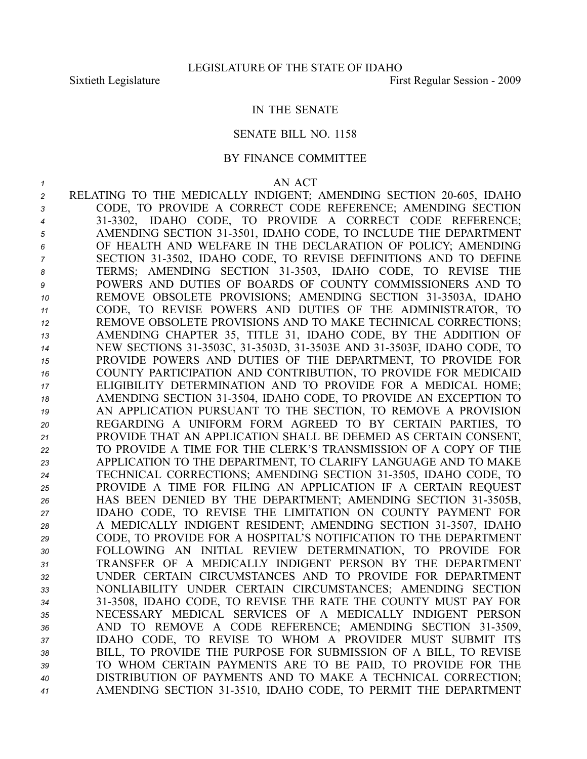## IN THE SENATE

## SENATE BILL NO. 1158

## BY FINANCE COMMITTEE

## *<sup>1</sup>* AN ACT

2 RELATING TO THE MEDICALLY INDIGENT; AMENDING SECTION 20-605, IDAHO CODE, TO PROVIDE A CORRECT CODE REFERENCE; AMENDING SECTION 313302, IDAHO CODE, TO PROVIDE A CORRECT CODE REFERENCE; AMENDING SECTION 313501, IDAHO CODE, TO INCLUDE THE DEPARTMENT OF HEALTH AND WELFARE IN THE DECLARATION OF POLICY; AMENDING SECTION 313502, IDAHO CODE, TO REVISE DEFINITIONS AND TO DEFINE TERMS; AMENDING SECTION 313503, IDAHO CODE, TO REVISE THE POWERS AND DUTIES OF BOARDS OF COUNTY COMMISSIONERS AND TO 10 REMOVE OBSOLETE PROVISIONS; AMENDING SECTION 31-3503A, IDAHO CODE, TO REVISE POWERS AND DUTIES OF THE ADMINISTRATOR, TO REMOVE OBSOLETE PROVISIONS AND TO MAKE TECHNICAL CORRECTIONS; AMENDING CHAPTER 35, TITLE 31, IDAHO CODE, BY THE ADDITION OF NEW SECTIONS 313503C, 313503D, 313503E AND 313503F, IDAHO CODE, TO PROVIDE POWERS AND DUTIES OF THE DEPARTMENT, TO PROVIDE FOR COUNTY PARTICIPATION AND CONTRIBUTION, TO PROVIDE FOR MEDICAID ELIGIBILITY DETERMINATION AND TO PROVIDE FOR A MEDICAL HOME; AMENDING SECTION 313504, IDAHO CODE, TO PROVIDE AN EXCEPTION TO AN APPLICATION PURSUANT TO THE SECTION, TO REMOVE A PROVISION REGARDING A UNIFORM FORM AGREED TO BY CERTAIN PARTIES, TO PROVIDE THAT AN APPLICATION SHALL BE DEEMED AS CERTAIN CONSENT, TO PROVIDE A TIME FOR THE CLERK'S TRANSMISSION OF A COPY OF THE APPLICATION TO THE DEPARTMENT, TO CLARIFY LANGUAGE AND TO MAKE TECHNICAL CORRECTIONS; AMENDING SECTION 313505, IDAHO CODE, TO PROVIDE A TIME FOR FILING AN APPLICATION IF A CERTAIN REQUEST 26 HAS BEEN DENIED BY THE DEPARTMENT; AMENDING SECTION 31-3505B, IDAHO CODE, TO REVISE THE LIMITATION ON COUNTY PAYMENT FOR 28 A MEDICALLY INDIGENT RESIDENT; AMENDING SECTION 31-3507, IDAHO CODE, TO PROVIDE FOR A HOSPITAL'S NOTIFICATION TO THE DEPARTMENT FOLLOWING AN INITIAL REVIEW DETERMINATION, TO PROVIDE FOR TRANSFER OF A MEDICALLY INDIGENT PERSON BY THE DEPARTMENT UNDER CERTAIN CIRCUMSTANCES AND TO PROVIDE FOR DEPARTMENT NONLIABILITY UNDER CERTAIN CIRCUMSTANCES; AMENDING SECTION 313508, IDAHO CODE, TO REVISE THE RATE THE COUNTY MUST PAY FOR NECESSARY MEDICAL SERVICES OF A MEDICALLY INDIGENT PERSON 36 AND TO REMOVE A CODE REFERENCE; AMENDING SECTION 31-3509, IDAHO CODE, TO REVISE TO WHOM A PROVIDER MUST SUBMIT ITS BILL, TO PROVIDE THE PURPOSE FOR SUBMISSION OF A BILL, TO REVISE TO WHOM CERTAIN PAYMENTS ARE TO BE PAID, TO PROVIDE FOR THE DISTRIBUTION OF PAYMENTS AND TO MAKE A TECHNICAL CORRECTION; AMENDING SECTION 313510, IDAHO CODE, TO PERMIT THE DEPARTMENT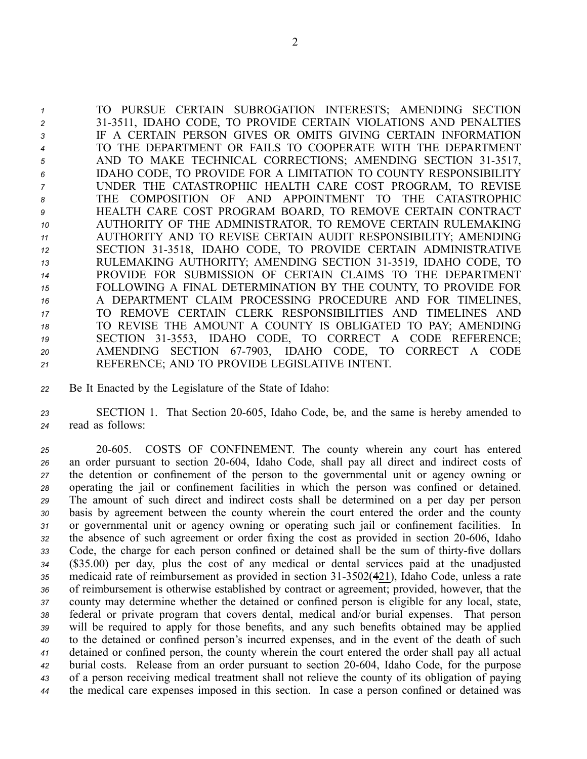TO PURSUE CERTAIN SUBROGATION INTERESTS; AMENDING SECTION 313511, IDAHO CODE, TO PROVIDE CERTAIN VIOLATIONS AND PENALTIES IF A CERTAIN PERSON GIVES OR OMITS GIVING CERTAIN INFORMATION TO THE DEPARTMENT OR FAILS TO COOPERATE WITH THE DEPARTMENT 5 AND TO MAKE TECHNICAL CORRECTIONS; AMENDING SECTION 31-3517, IDAHO CODE, TO PROVIDE FOR A LIMITATION TO COUNTY RESPONSIBILITY UNDER THE CATASTROPHIC HEALTH CARE COST PROGRAM, TO REVISE THE COMPOSITION OF AND APPOINTMENT TO THE CATASTROPHIC HEALTH CARE COST PROGRAM BOARD, TO REMOVE CERTAIN CONTRACT AUTHORITY OF THE ADMINISTRATOR, TO REMOVE CERTAIN RULEMAKING AUTHORITY AND TO REVISE CERTAIN AUDIT RESPONSIBILITY; AMENDING SECTION 313518, IDAHO CODE, TO PROVIDE CERTAIN ADMINISTRATIVE RULEMAKING AUTHORITY; AMENDING SECTION 313519, IDAHO CODE, TO PROVIDE FOR SUBMISSION OF CERTAIN CLAIMS TO THE DEPARTMENT FOLLOWING A FINAL DETERMINATION BY THE COUNTY, TO PROVIDE FOR A DEPARTMENT CLAIM PROCESSING PROCEDURE AND FOR TIMELINES, TO REMOVE CERTAIN CLERK RESPONSIBILITIES AND TIMELINES AND TO REVISE THE AMOUNT A COUNTY IS OBLIGATED TO PAY; AMENDING 19 SECTION 31-3553, IDAHO CODE, TO CORRECT A CODE REFERENCE; 20 AMENDING SECTION 67-7903, IDAHO CODE, TO CORRECT A CODE REFERENCE; AND TO PROVIDE LEGISLATIVE INTENT.

*<sup>22</sup>* Be It Enacted by the Legislature of the State of Idaho:

*<sup>23</sup>* SECTION 1. That Section 20605, Idaho Code, be, and the same is hereby amended to *<sup>24</sup>* read as follows:

 20605. COSTS OF CONFINEMENT. The county wherein any court has entered an order pursuan<sup>t</sup> to section 20604, Idaho Code, shall pay all direct and indirect costs of the detention or confinement of the person to the governmental unit or agency owning or operating the jail or confinement facilities in which the person was confined or detained. The amount of such direct and indirect costs shall be determined on <sup>a</sup> per day per person basis by agreemen<sup>t</sup> between the county wherein the court entered the order and the county or governmental unit or agency owning or operating such jail or confinement facilities. In 32 the absence of such agreement or order fixing the cost as provided in section 20-606, Idaho 33 Code, the charge for each person confined or detained shall be the sum of thirty-five dollars (\$35.00) per day, plus the cost of any medical or dental services paid at the unadjusted 35 medicaid rate of reimbursement as provided in section 31-3502(421), Idaho Code, unless a rate of reimbursement is otherwise established by contract or agreement; provided, however, that the county may determine whether the detained or confined person is eligible for any local, state, federal or private program that covers dental, medical and/or burial expenses. That person will be required to apply for those benefits, and any such benefits obtained may be applied to the detained or confined person's incurred expenses, and in the event of the death of such detained or confined person, the county wherein the court entered the order shall pay all actual burial costs. Release from an order pursuan<sup>t</sup> to section 20604, Idaho Code, for the purpose of <sup>a</sup> person receiving medical treatment shall not relieve the county of its obligation of paying the medical care expenses imposed in this section. In case <sup>a</sup> person confined or detained was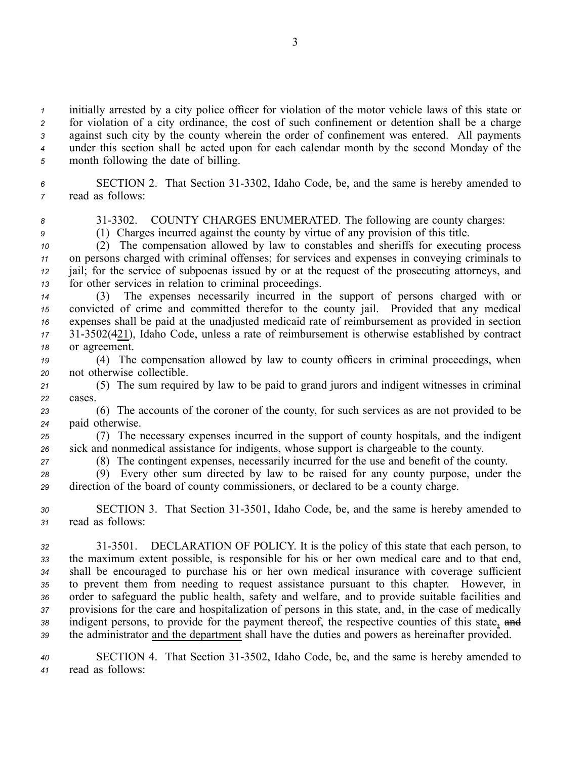initially arrested by <sup>a</sup> city police officer for violation of the motor vehicle laws of this state or for violation of <sup>a</sup> city ordinance, the cost of such confinement or detention shall be <sup>a</sup> charge against such city by the county wherein the order of confinement was entered. All payments under this section shall be acted upon for each calendar month by the second Monday of the month following the date of billing.

6 SECTION 2. That Section 31-3302, Idaho Code, be, and the same is hereby amended to *<sup>7</sup>* read as follows:

*<sup>8</sup>* 313302. COUNTY CHARGES ENUMERATED. The following are county charges:

*<sup>9</sup>* (1) Charges incurred against the county by virtue of any provision of this title.

 (2) The compensation allowed by law to constables and sheriffs for executing process on persons charged with criminal offenses; for services and expenses in conveying criminals to jail; for the service of subpoenas issued by or at the reques<sup>t</sup> of the prosecuting attorneys, and for other services in relation to criminal proceedings.

 (3) The expenses necessarily incurred in the suppor<sup>t</sup> of persons charged with or convicted of crime and committed therefor to the county jail. Provided that any medical expenses shall be paid at the unadjusted medicaid rate of reimbursement as provided in section 313502(421), Idaho Code, unless <sup>a</sup> rate of reimbursement is otherwise established by contract or agreement.

*<sup>19</sup>* (4) The compensation allowed by law to county officers in criminal proceedings, when *<sup>20</sup>* not otherwise collectible.

*<sup>21</sup>* (5) The sum required by law to be paid to grand jurors and indigent witnesses in criminal *22* cases.

*<sup>23</sup>* (6) The accounts of the coroner of the county, for such services as are not provided to be *<sup>24</sup>* paid otherwise.

*<sup>25</sup>* (7) The necessary expenses incurred in the suppor<sup>t</sup> of county hospitals, and the indigent *<sup>26</sup>* sick and nonmedical assistance for indigents, whose suppor<sup>t</sup> is chargeable to the county.

*<sup>27</sup>* (8) The contingent expenses, necessarily incurred for the use and benefit of the county.

*<sup>28</sup>* (9) Every other sum directed by law to be raised for any county purpose, under the *<sup>29</sup>* direction of the board of county commissioners, or declared to be <sup>a</sup> county charge.

30 SECTION 3. That Section 31-3501, Idaho Code, be, and the same is hereby amended to *<sup>31</sup>* read as follows:

 313501. DECLARATION OF POLICY. It is the policy of this state that each person, to the maximum extent possible, is responsible for his or her own medical care and to that end, shall be encouraged to purchase his or her own medical insurance with coverage sufficient to preven<sup>t</sup> them from needing to reques<sup>t</sup> assistance pursuan<sup>t</sup> to this chapter. However, in order to safeguard the public health, safety and welfare, and to provide suitable facilities and provisions for the care and hospitalization of persons in this state, and, in the case of medically 38 indigent persons, to provide for the payment thereof, the respective counties of this state, and the administrator and the department shall have the duties and powers as hereinafter provided.

*<sup>40</sup>* SECTION 4. That Section 313502, Idaho Code, be, and the same is hereby amended to *<sup>41</sup>* read as follows: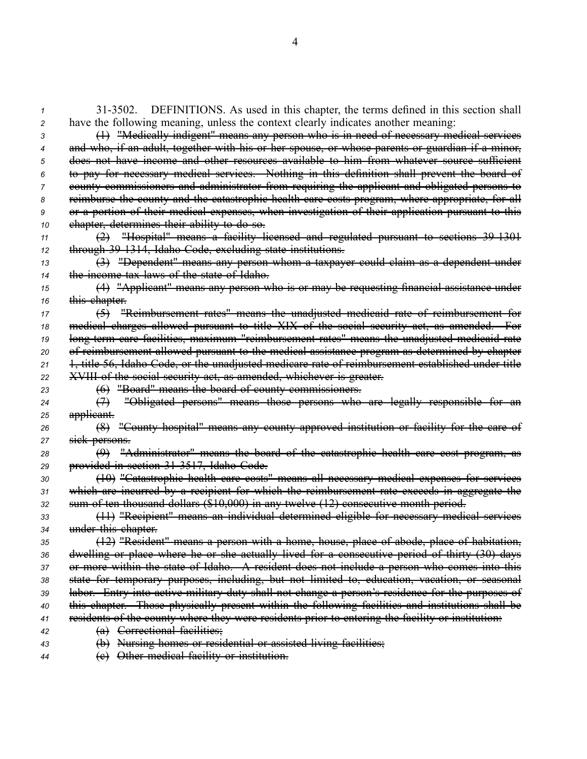313502. DEFINITIONS. As used in this chapter, the terms defined in this section shall have the following meaning, unless the context clearly indicates another meaning: (1) "Medically indigent" means any person who is in need of necessary medical services and who, if an adult, together with his or her spouse, or whose parents or guardian if <sup>a</sup> minor, does not have income and other resources available to him from whatever source sufficient to pay for necessary medical services. Nothing in this definition shall preven<sup>t</sup> the board of county commissioners and administrator from requiring the applicant and obligated persons to reimburse the county and the catastrophic health care costs program, where appropriate, for all or <sup>a</sup> portion of their medical expenses, when investigation of their application pursuan<sup>t</sup> to this chapter, determines their ability to do so. (2) "Hospital" means <sup>a</sup> facility licensed and regulated pursuan<sup>t</sup> to sections 391301 through 391314, Idaho Code, excluding state institutions. (3) "Dependent" means any person whom <sup>a</sup> taxpayer could claim as <sup>a</sup> dependent under the income tax laws of the state of Idaho. (4) "Applicant" means any person who is or may be requesting financial assistance under this chapter. (5) "Reimbursement rates" means the unadjusted medicaid rate of reimbursement for medical charges allowed pursuan<sup>t</sup> to title XIX of the social security act, as amended. For 19 long term care facilities, maximum "reimbursement rates" means the unadjusted medicaid rate of reimbursement allowed pursuan<sup>t</sup> to the medical assistance program as determined by chapter 1, title 56, Idaho Code, or the unadjusted medicare rate of reimbursement established under title XVIII of the social security act, as amended, whichever is greater. (6) "Board" means the board of county commissioners. (7) "Obligated persons" means those persons who are legally responsible for an applicant. (8) "County hospital" means any county approved institution or facility for the care of sick persons. (9) "Administrator" means the board of the catastrophic health care cost program, as provided in section 313517, Idaho Code. (10) "Catastrophic health care costs" means all necessary medical expenses for services which are incurred by <sup>a</sup> recipient for which the reimbursement rate exceeds in aggregate the sum of ten thousand dollars (\$10,000) in any twelve (12) consecutive month period. (11) "Recipient" means an individual determined eligible for necessary medical services under this chapter. (12) "Resident" means <sup>a</sup> person with <sup>a</sup> home, house, place of abode, place of habitation, dwelling or place where he or she actually lived for <sup>a</sup> consecutive period of thirty (30) days or more within the state of Idaho. A resident does not include <sup>a</sup> person who comes into this state for temporary purposes, including, but not limited to, education, vacation, or seasonal labor. Entry into active military duty shall not change <sup>a</sup> person's residence for the purposes of this chapter. Those physically presen<sup>t</sup> within the following facilities and institutions shall be residents of the county where they were residents prior to entering the facility or institution: (a) Correctional facilities; (b) Nursing homes or residential or assisted living facilities; (c) Other medical facility or institution.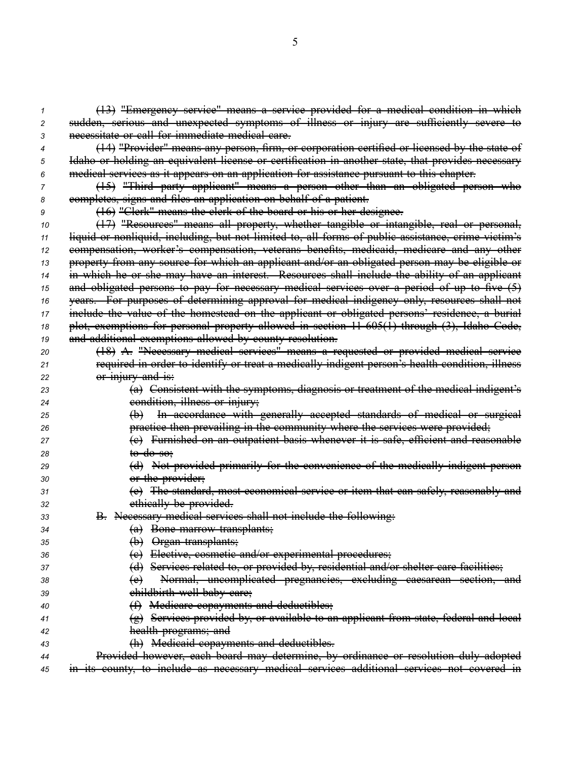(13) "Emergency service" means <sup>a</sup> service provided for <sup>a</sup> medical condition in which sudden, serious and unexpected symptoms of illness or injury are sufficiently severe to necessitate or call for immediate medical care. (14) "Provider" means any person, firm, or corporation certified or licensed by the state of Idaho or holding an equivalent license or certification in another state, that provides necessary medical services as it appears on an application for assistance pursuan<sup>t</sup> to this chapter. (15) "Third party applicant" means <sup>a</sup> person other than an obligated person who completes, signs and files an application on behalf of <sup>a</sup> patient. (16) "Clerk" means the clerk of the board or his or her designee. (17) "Resources" means all property, whether tangible or intangible, real or personal, liquid or nonliquid, including, but not limited to, all forms of public assistance, crime victim's compensation, worker's compensation, veterans benefits, medicaid, medicare and any other property from any source for which an applicant and/or an obligated person may be eligible or in which he or she may have an interest. Resources shall include the ability of an applicant and obligated persons to pay for necessary medical services over <sup>a</sup> period of up to five (5) years. For purposes of determining approval for medical indigency only, resources shall not include the value of the homestead on the applicant or obligated persons' residence, <sup>a</sup> burial plot, exemptions for personal property allowed in section 11605(1) through (3), Idaho Code, and additional exemptions allowed by county resolution. (18) A. "Necessary medical services" means <sup>a</sup> requested or provided medical service required in order to identify or treat <sup>a</sup> medically indigent person's health condition, illness or injury and is: (a) Consistent with the symptoms, diagnosis or treatment of the medical indigent's condition, illness or injury; (b) In accordance with generally accepted standards of medical or surgical *practice then prevailing in the community where the services were provided;*  (c) Furnished on an outpatient basis whenever it is safe, efficient and reasonable to do so; (d) Not provided primarily for the convenience of the medically indigent person or the provider; (e) The standard, most economical service or item that can safely, reasonably and ethically be provided. **B.** Necessary medical services shall not include the following: (a) Bone marrow transplants; (b) Organ transplants; (c) Elective, cosmetic and/or experimental procedures; (d) Services related to, or provided by, residential and/or shelter care facilities; (e) Normal, uncomplicated pregnancies, excluding caesarean section, and **childbirth well baby care;**  (f) Medicare copayments and deductibles; (g) Services provided by, or available to an applicant from state, federal and local health programs; and (h) Medicaid copayments and deductibles. Provided however, each board may determine, by ordinance or resolution duly adopted

*<sup>45</sup>* in its county, to include as necessary medical services additional services not covered in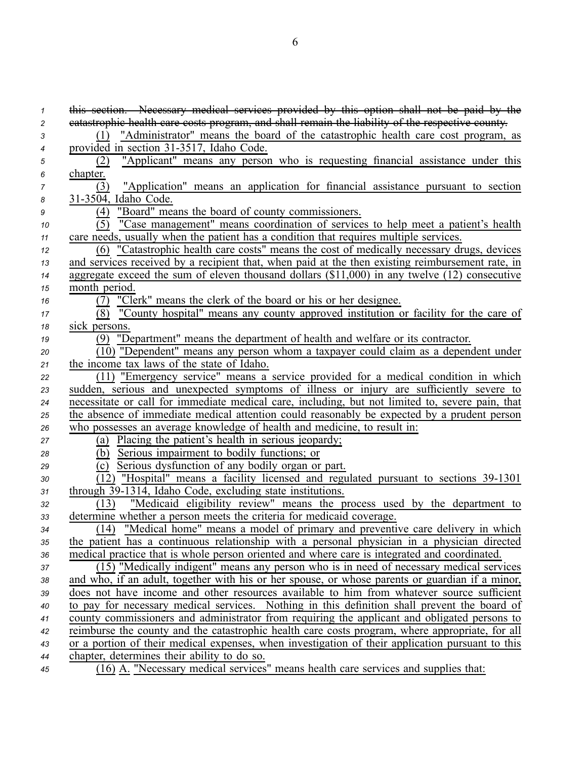| $\mathbf{1}$ | this section. Necessary medical services provided by this option shall not be paid by the        |
|--------------|--------------------------------------------------------------------------------------------------|
| 2            | eatastrophic health care costs program, and shall remain the liability of the respective county. |
| 3            | "Administrator" means the board of the catastrophic health care cost program, as<br>(1)          |
| 4            | provided in section 31-3517, Idaho Code.                                                         |
| 5            | (2) "Applicant" means any person who is requesting financial assistance under this               |
| 6            | chapter.                                                                                         |
| 7            | "Application" means an application for financial assistance pursuant to section<br>(3)           |
| 8            | 31-3504, Idaho Code.                                                                             |
| 9            | (4) "Board" means the board of county commissioners.                                             |
| 10           | (5) "Case management" means coordination of services to help meet a patient's health             |
| 11           | care needs, usually when the patient has a condition that requires multiple services.            |
| 12           | (6) "Catastrophic health care costs" means the cost of medically necessary drugs, devices        |
| 13           | and services received by a recipient that, when paid at the then existing reimbursement rate, in |
| 14           | aggregate exceed the sum of eleven thousand dollars (\$11,000) in any twelve $(12)$ consecutive  |
| 15           | month period.                                                                                    |
| 16           | (7) "Clerk" means the clerk of the board or his or her designee.                                 |
| 17           | (8) "County hospital" means any county approved institution or facility for the care of          |
| 18           | sick persons.                                                                                    |
| 19           | (9) "Department" means the department of health and welfare or its contractor.                   |
| 20           | $\overline{(10)}$ "Dependent" means any person whom a taxpayer could claim as a dependent under  |
| 21           | the income tax laws of the state of Idaho.                                                       |
| 22           | (11) "Emergency service" means a service provided for a medical condition in which               |
| 23           | sudden, serious and unexpected symptoms of illness or injury are sufficiently severe to          |
| 24           | necessitate or call for immediate medical care, including, but not limited to, severe pain, that |
| 25           | the absence of immediate medical attention could reasonably be expected by a prudent person      |
| 26           | who possesses an average knowledge of health and medicine, to result in:                         |
| 27           | (a) Placing the patient's health in serious jeopardy;                                            |
| 28           | (b) Serious impairment to bodily functions; or                                                   |
| 29           | (c) Serious dysfunction of any bodily organ or part.                                             |
| 30           | (12) "Hospital" means a facility licensed and regulated pursuant to sections 39-1301             |
| 31           | through 39-1314, Idaho Code, excluding state institutions.                                       |
| 32           | (13) "Medicaid eligibility review" means the process used by the department to                   |
| 33           | determine whether a person meets the criteria for medicaid coverage.                             |
| 34           | (14) "Medical home" means a model of primary and preventive care delivery in which               |
| 35           | the patient has a continuous relationship with a personal physician in a physician directed      |
| 36           | medical practice that is whole person oriented and where care is integrated and coordinated.     |
| 37           | (15) "Medically indigent" means any person who is in need of necessary medical services          |
| 38           | and who, if an adult, together with his or her spouse, or whose parents or guardian if a minor,  |
| 39           | does not have income and other resources available to him from whatever source sufficient        |
| 40           | to pay for necessary medical services. Nothing in this definition shall prevent the board of     |
| 41           | county commissioners and administrator from requiring the applicant and obligated persons to     |
| 42           | reimburse the county and the catastrophic health care costs program, where appropriate, for all  |
| 43           | or a portion of their medical expenses, when investigation of their application pursuant to this |
| 44           | chapter, determines their ability to do so.                                                      |
| 45           | (16) A. "Necessary medical services" means health care services and supplies that:               |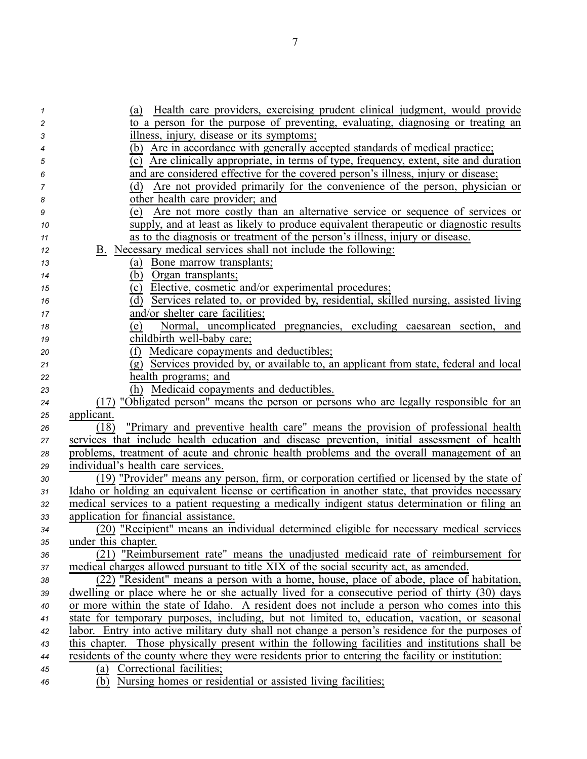| 1        | Health care providers, exercising prudent clinical judgment, would provide<br>(a)                 |
|----------|---------------------------------------------------------------------------------------------------|
| 2        | to a person for the purpose of preventing, evaluating, diagnosing or treating an                  |
| 3        | illness, injury, disease or its symptoms;                                                         |
| 4        | (b) Are in accordance with generally accepted standards of medical practice;                      |
| 5        | Are clinically appropriate, in terms of type, frequency, extent, site and duration<br>(c)         |
| 6        | and are considered effective for the covered person's illness, injury or disease;                 |
| 7        | Are not provided primarily for the convenience of the person, physician or<br>(d)                 |
| 8        | other health care provider; and                                                                   |
| 9        | Are not more costly than an alternative service or sequence of services or<br>(e)                 |
| 10       | supply, and at least as likely to produce equivalent therapeutic or diagnostic results            |
| 11       | as to the diagnosis or treatment of the person's illness, injury or disease.                      |
| 12       | B. Necessary medical services shall not include the following:                                    |
| 13       | (a) Bone marrow transplants;                                                                      |
| 14       | (b)<br>Organ transplants;                                                                         |
| 15       | (c) Elective, cosmetic and/or experimental procedures;                                            |
| 16       | Services related to, or provided by, residential, skilled nursing, assisted living<br>(d)         |
| 17       | and/or shelter care facilities;                                                                   |
| 18       | Normal, uncomplicated pregnancies, excluding caesarean section, and<br>(e)                        |
| 19       | childbirth well-baby care;<br>(f) Medicare copayments and deductibles;                            |
| 20       | (g) Services provided by, or available to, an applicant from state, federal and local             |
| 21       | health programs; and                                                                              |
| 22<br>23 | (h) Medicaid copayments and deductibles.                                                          |
| 24       | (17) "Obligated person" means the person or persons who are legally responsible for an            |
| 25       | applicant.                                                                                        |
| 26       | "Primary and preventive health care" means the provision of professional health<br>(18)           |
| 27       | services that include health education and disease prevention, initial assessment of health       |
| 28       | problems, treatment of acute and chronic health problems and the overall management of an         |
| 29       | individual's health care services.                                                                |
| 30       | (19) "Provider" means any person, firm, or corporation certified or licensed by the state of      |
| 31       | Idaho or holding an equivalent license or certification in another state, that provides necessary |
| 32       | medical services to a patient requesting a medically indigent status determination or filing an   |
| 33       | application for financial assistance.                                                             |
| 34       | (20) "Recipient" means an individual determined eligible for necessary medical services           |
| 35       | under this chapter.                                                                               |
| 36       | (21) "Reimbursement rate" means the unadjusted medicaid rate of reimbursement for                 |
| 37       | medical charges allowed pursuant to title XIX of the social security act, as amended.             |
| 38       | (22) "Resident" means a person with a home, house, place of abode, place of habitation,           |
| 39       | dwelling or place where he or she actually lived for a consecutive period of thirty (30) days     |
| 40       | or more within the state of Idaho. A resident does not include a person who comes into this       |
| 41       | state for temporary purposes, including, but not limited to, education, vacation, or seasonal     |
| 42       | labor. Entry into active military duty shall not change a person's residence for the purposes of  |
| 43       | this chapter. Those physically present within the following facilities and institutions shall be  |
| 44       | residents of the county where they were residents prior to entering the facility or institution:  |
| 45       | (a) Correctional facilities;                                                                      |
| 46       | (b) Nursing homes or residential or assisted living facilities;                                   |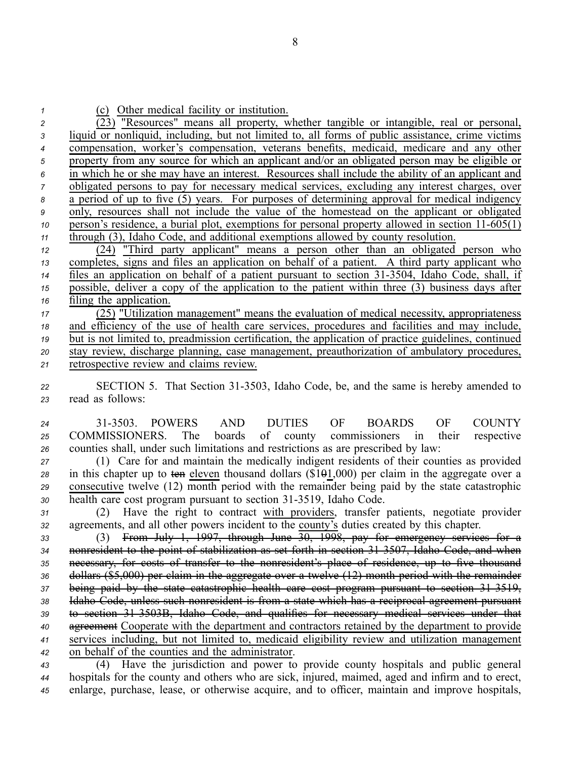| $\mathbf{1}$     | (c) Other medical facility or institution.                                                             |
|------------------|--------------------------------------------------------------------------------------------------------|
| 2                | (23) "Resources" means all property, whether tangible or intangible, real or personal,                 |
| 3                | liquid or nonliquid, including, but not limited to, all forms of public assistance, crime victims      |
| $\boldsymbol{4}$ | compensation, worker's compensation, veterans benefits, medicaid, medicare and any other               |
| $\sqrt{5}$       | property from any source for which an applicant and/or an obligated person may be eligible or          |
| $\boldsymbol{6}$ | in which he or she may have an interest. Resources shall include the ability of an applicant and       |
| $\overline{7}$   | obligated persons to pay for necessary medical services, excluding any interest charges, over          |
| $\pmb{8}$        | a period of up to five (5) years. For purposes of determining approval for medical indigency           |
| 9                | only, resources shall not include the value of the homestead on the applicant or obligated             |
| 10               | person's residence, a burial plot, exemptions for personal property allowed in section 11-605(1)       |
| $11$             | through (3), Idaho Code, and additional exemptions allowed by county resolution.                       |
| 12               | (24) "Third party applicant" means a person other than an obligated person who                         |
| 13               | completes, signs and files an application on behalf of a patient. A third party applicant who          |
| 14               | files an application on behalf of a patient pursuant to section 31-3504, Idaho Code, shall, if         |
| 15               | possible, deliver a copy of the application to the patient within three (3) business days after        |
| 16               | filing the application.                                                                                |
| 17               | (25) "Utilization management" means the evaluation of medical necessity, appropriateness               |
| 18               | and efficiency of the use of health care services, procedures and facilities and may include,          |
| $19$             | but is not limited to, preadmission certification, the application of practice guidelines, continued   |
| 20               | stay review, discharge planning, case management, preauthorization of ambulatory procedures,           |
| 21               | retrospective review and claims review.                                                                |
|                  |                                                                                                        |
| 22               | SECTION 5. That Section 31-3503, Idaho Code, be, and the same is hereby amended to<br>read as follows: |
| 23               |                                                                                                        |
| 24               | 31-3503. POWERS AND DUTIES OF BOARDS<br>OF<br><b>COUNTY</b>                                            |
| 25               | COMMISSIONERS. The boards of county commissioners in<br>their<br>respective                            |
| 26               | counties shall, under such limitations and restrictions as are prescribed by law:                      |
| 27               | (1) Care for and maintain the medically indigent residents of their counties as provided               |
| 28               | in this chapter up to ten eleven thousand dollars $(\$1\Theta1,000)$ per claim in the aggregate over a |
| 29               | consecutive twelve (12) month period with the remainder being paid by the state catastrophic           |
| 30               | health care cost program pursuant to section 31-3519, Idaho Code.                                      |
| 21               | (2) Have the right to contract with providers transfer patients negotiate provider                     |

*<sup>31</sup>* (2) Have the right to contract with providers, transfer patients, negotiate provider *<sup>32</sup>* agreements, and all other powers incident to the county's duties created by this chapter.

 (3) From July 1, 1997, through June 30, 1998, pay for emergency services for <sup>a</sup> nonresident to the point of stabilization as set forth in section 313507, Idaho Code, and when necessary, for costs of transfer to the nonresident's place of residence, up to five thousand dollars (\$5,000) per claim in the aggregate over <sup>a</sup> twelve (12) month period with the remainder being paid by the state catastrophic health care cost program pursuan<sup>t</sup> to section 313519, Idaho Code, unless such nonresident is from <sup>a</sup> state which has <sup>a</sup> reciprocal agreemen<sup>t</sup> pursuan<sup>t</sup> to section 313503B, Idaho Code, and qualifies for necessary medical services under that agreemen<sup>t</sup> Cooperate with the department and contractors retained by the department to provide services including, but not limited to, medicaid eligibility review and utilization managemen<sup>t</sup> on behalf of the counties and the administrator.

*<sup>43</sup>* (4) Have the jurisdiction and power to provide county hospitals and public general *<sup>44</sup>* hospitals for the county and others who are sick, injured, maimed, aged and infirm and to erect, *<sup>45</sup>* enlarge, purchase, lease, or otherwise acquire, and to officer, maintain and improve hospitals,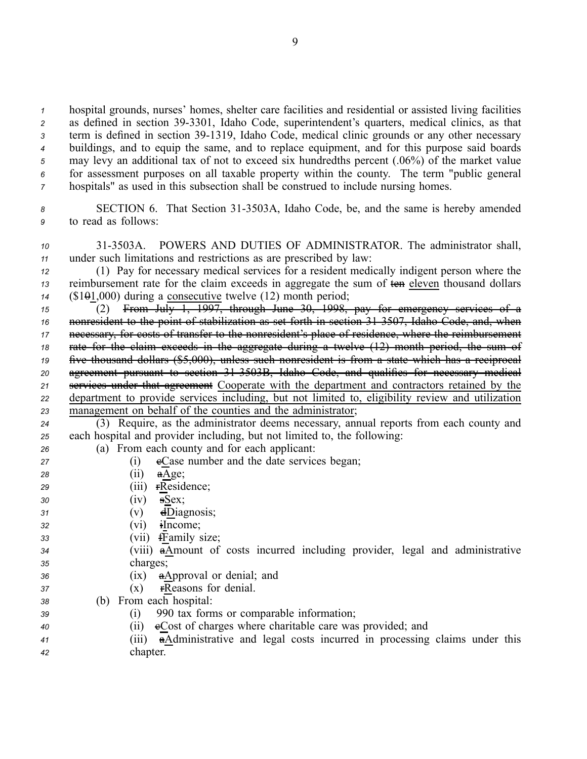hospital grounds, nurses' homes, shelter care facilities and residential or assisted living facilities 2 as defined in section 39-3301, Idaho Code, superintendent's quarters, medical clinics, as that 3 term is defined in section 39-1319, Idaho Code, medical clinic grounds or any other necessary buildings, and to equip the same, and to replace equipment, and for this purpose said boards may levy an additional tax of not to exceed six hundredths percen<sup>t</sup> (.06%) of the market value for assessment purposes on all taxable property within the county. The term "public general hospitals" as used in this subsection shall be construed to include nursing homes.

8 **SECTION 6.** That Section 31-3503A, Idaho Code, be, and the same is hereby amended *<sup>9</sup>* to read as follows:

*<sup>10</sup>* 313503A. POWERS AND DUTIES OF ADMINISTRATOR. The administrator shall, *<sup>11</sup>* under such limitations and restrictions as are prescribed by law:

*<sup>12</sup>* (1) Pay for necessary medical services for <sup>a</sup> resident medically indigent person where the *<sup>13</sup>* reimbursement rate for the claim exceeds in aggregate the sum of ten eleven thousand dollars *<sup>14</sup>* (\$101,000) during <sup>a</sup> consecutive twelve (12) month period;

 (2) From July 1, 1997, through June 30, 1998, pay for emergency services of <sup>a</sup> nonresident to the point of stabilization as set forth in section 313507, Idaho Code, and, when necessary, for costs of transfer to the nonresident's place of residence, where the reimbursement rate for the claim exceeds in the aggregate during <sup>a</sup> twelve (12) month period, the sum of five thousand dollars (\$5,000), unless such nonresident is from <sup>a</sup> state which has <sup>a</sup> reciprocal agreemen<sup>t</sup> pursuan<sup>t</sup> to section 313503B, Idaho Code, and qualifies for necessary medical services under that agreemen<sup>t</sup> Cooperate with the department and contractors retained by the department to provide services including, but not limited to, eligibility review and utilization managemen<sup>t</sup> on behalf of the counties and the administrator;

*<sup>24</sup>* (3) Require, as the administrator deems necessary, annual reports from each county and *<sup>25</sup>* each hospital and provider including, but not limited to, the following:

*<sup>26</sup>* (a) From each county and for each applicant:

- 27 (i) eCase number and the date services began; *<sup>28</sup>* (ii) aAge;
- *<sup>29</sup>* (iii) rResidence; *<sup>30</sup>* (iv) sSex;
- *<sup>31</sup>* (v) dDiagnosis;
- *<sup>32</sup>* (vi) iIncome;
- *<sup>33</sup>* (vii) fFamily size;
- *<sup>34</sup>* (viii) aAmount of costs incurred including provider, legal and administrative *<sup>35</sup>* charges;
- *<sup>36</sup>* (ix) aApproval or denial; and
- 37 (x) **FReasons for denial.**
- *<sup>38</sup>* (b) From each hospital:
- *<sup>39</sup>* (i) 990 tax forms or comparable information;
- *<sup>40</sup>* (ii) cCost of charges where charitable care was provided; and
- *<sup>41</sup>* (iii) aAdministrative and legal costs incurred in processing claims under this *<sup>42</sup>* chapter.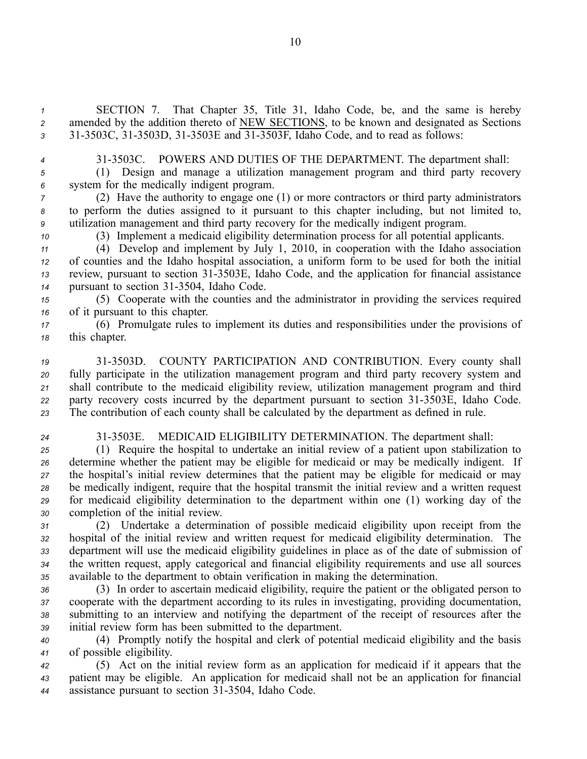*<sup>1</sup>* SECTION 7. That Chapter 35, Title 31, Idaho Code, be, and the same is hereby *<sup>2</sup>* amended by the addition thereto of NEW SECTIONS, to be known and designated as Sections 3 31-3503C, 31-3503D, 31-3503E and 31-3503F, Idaho Code, and to read as follows:

*<sup>4</sup>* 313503C. POWERS AND DUTIES OF THE DEPARTMENT. The department shall:

*<sup>5</sup>* (1) Design and manage <sup>a</sup> utilization managemen<sup>t</sup> program and third party recovery *<sup>6</sup>* system for the medically indigent program.

*<sup>7</sup>* (2) Have the authority to engage one (1) or more contractors or third party administrators *<sup>8</sup>* to perform the duties assigned to it pursuan<sup>t</sup> to this chapter including, but not limited to, *<sup>9</sup>* utilization managemen<sup>t</sup> and third party recovery for the medically indigent program.

*<sup>10</sup>* (3) Implement <sup>a</sup> medicaid eligibility determination process for all potential applicants.

 (4) Develop and implement by July 1, 2010, in cooperation with the Idaho association of counties and the Idaho hospital association, <sup>a</sup> uniform form to be used for both the initial review, pursuan<sup>t</sup> to section 313503E, Idaho Code, and the application for financial assistance 14 pursuant to section 31-3504, Idaho Code.

*<sup>15</sup>* (5) Cooperate with the counties and the administrator in providing the services required *<sup>16</sup>* of it pursuan<sup>t</sup> to this chapter.

*<sup>17</sup>* (6) Promulgate rules to implement its duties and responsibilities under the provisions of *<sup>18</sup>* this chapter.

 313503D. COUNTY PARTICIPATION AND CONTRIBUTION. Every county shall fully participate in the utilization managemen<sup>t</sup> program and third party recovery system and shall contribute to the medicaid eligibility review, utilization managemen<sup>t</sup> program and third 22 party recovery costs incurred by the department pursuant to section 31-3503E, Idaho Code. The contribution of each county shall be calculated by the department as defined in rule.

*<sup>24</sup>* 313503E. MEDICAID ELIGIBILITY DETERMINATION. The department shall:

 (1) Require the hospital to undertake an initial review of <sup>a</sup> patient upon stabilization to determine whether the patient may be eligible for medicaid or may be medically indigent. If the hospital's initial review determines that the patient may be eligible for medicaid or may be medically indigent, require that the hospital transmit the initial review and <sup>a</sup> written reques<sup>t</sup> for medicaid eligibility determination to the department within one (1) working day of the completion of the initial review.

 (2) Undertake <sup>a</sup> determination of possible medicaid eligibility upon receipt from the hospital of the initial review and written reques<sup>t</sup> for medicaid eligibility determination. The department will use the medicaid eligibility guidelines in place as of the date of submission of the written request, apply categorical and financial eligibility requirements and use all sources available to the department to obtain verification in making the determination.

 (3) In order to ascertain medicaid eligibility, require the patient or the obligated person to cooperate with the department according to its rules in investigating, providing documentation, submitting to an interview and notifying the department of the receipt of resources after the initial review form has been submitted to the department.

*<sup>40</sup>* (4) Promptly notify the hospital and clerk of potential medicaid eligibility and the basis *<sup>41</sup>* of possible eligibility.

*<sup>42</sup>* (5) Act on the initial review form as an application for medicaid if it appears that the *<sup>43</sup>* patient may be eligible. An application for medicaid shall not be an application for financial 44 assistance pursuant to section 31-3504, Idaho Code.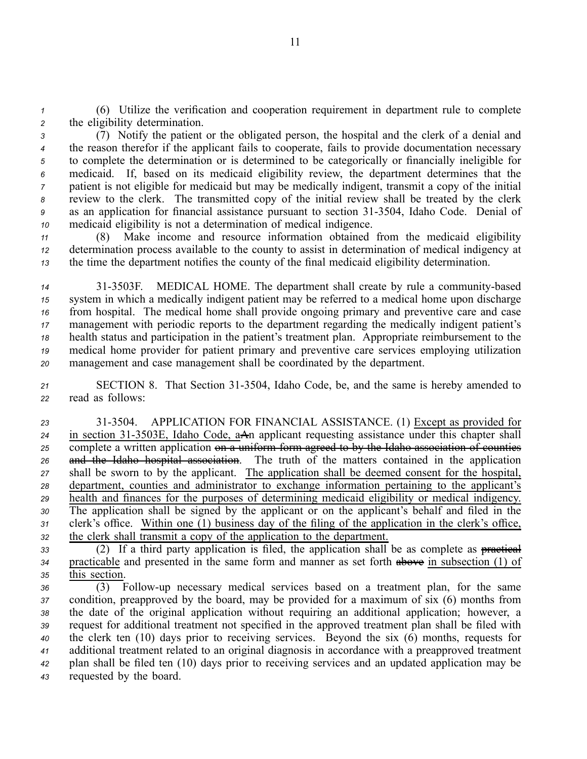*<sup>1</sup>* (6) Utilize the verification and cooperation requirement in department rule to complete *<sup>2</sup>* the eligibility determination.

 (7) Notify the patient or the obligated person, the hospital and the clerk of <sup>a</sup> denial and the reason therefor if the applicant fails to cooperate, fails to provide documentation necessary to complete the determination or is determined to be categorically or financially ineligible for medicaid. If, based on its medicaid eligibility review, the department determines that the patient is not eligible for medicaid but may be medically indigent, transmit <sup>a</sup> copy of the initial review to the clerk. The transmitted copy of the initial review shall be treated by the clerk as an application for financial assistance pursuan<sup>t</sup> to section 313504, Idaho Code. Denial of medicaid eligibility is not <sup>a</sup> determination of medical indigence.

*<sup>11</sup>* (8) Make income and resource information obtained from the medicaid eligibility *<sup>12</sup>* determination process available to the county to assist in determination of medical indigency at *<sup>13</sup>* the time the department notifies the county of the final medicaid eligibility determination.

 313503F. MEDICAL HOME. The department shall create by rule <sup>a</sup> communitybased system in which <sup>a</sup> medically indigent patient may be referred to <sup>a</sup> medical home upon discharge from hospital. The medical home shall provide ongoing primary and preventive care and case managemen<sup>t</sup> with periodic reports to the department regarding the medically indigent patient's health status and participation in the patient's treatment plan. Appropriate reimbursement to the medical home provider for patient primary and preventive care services employing utilization managemen<sup>t</sup> and case managemen<sup>t</sup> shall be coordinated by the department.

*<sup>21</sup>* SECTION 8. That Section 313504, Idaho Code, be, and the same is hereby amended to *<sup>22</sup>* read as follows:

 313504. APPLICATION FOR FINANCIAL ASSISTANCE. (1) Except as provided for 24 in section 31-3503E, Idaho Code, aAn applicant requesting assistance under this chapter shall complete <sup>a</sup> written application on <sup>a</sup> uniform form agreed to by the Idaho association of counties and the Idaho hospital association. The truth of the matters contained in the application shall be sworn to by the applicant. The application shall be deemed consent for the hospital, department, counties and administrator to exchange information pertaining to the applicant's health and finances for the purposes of determining medicaid eligibility or medical indigency. The application shall be signed by the applicant or on the applicant's behalf and filed in the clerk's office. Within one (1) business day of the filing of the application in the clerk's office, the clerk shall transmit <sup>a</sup> copy of the application to the department.

*<sup>33</sup>* (2) If <sup>a</sup> third party application is filed, the application shall be as complete as practical *<sup>34</sup>* practicable and presented in the same form and manner as set forth above in subsection (1) of *<sup>35</sup>* this section.

 (3) Followup necessary medical services based on <sup>a</sup> treatment plan, for the same condition, preapproved by the board, may be provided for <sup>a</sup> maximum of six (6) months from the date of the original application without requiring an additional application; however, <sup>a</sup> reques<sup>t</sup> for additional treatment not specified in the approved treatment plan shall be filed with the clerk ten (10) days prior to receiving services. Beyond the six (6) months, requests for additional treatment related to an original diagnosis in accordance with <sup>a</sup> preapproved treatment plan shall be filed ten (10) days prior to receiving services and an updated application may be requested by the board.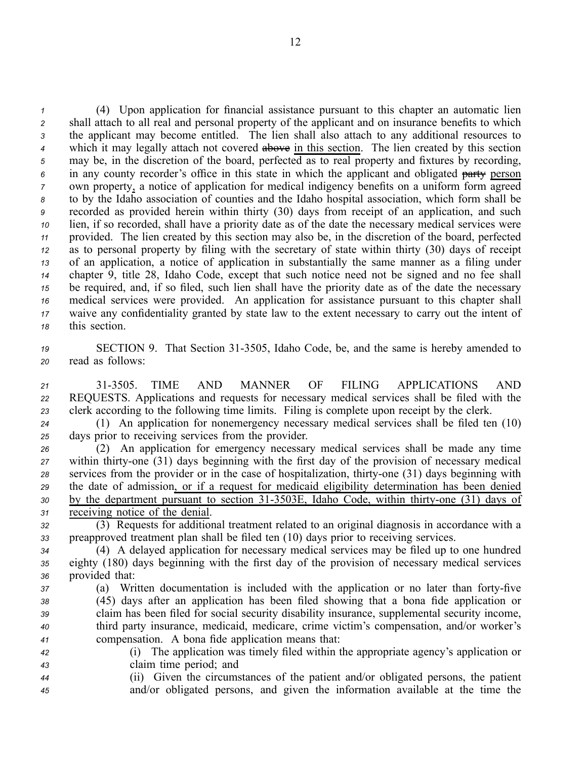(4) Upon application for financial assistance pursuan<sup>t</sup> to this chapter an automatic lien shall attach to all real and personal property of the applicant and on insurance benefits to which the applicant may become entitled. The lien shall also attach to any additional resources to which it may legally attach not covered above in this section. The lien created by this section may be, in the discretion of the board, perfected as to real property and fixtures by recording, in any county recorder's office in this state in which the applicant and obligated party person own property, <sup>a</sup> notice of application for medical indigency benefits on <sup>a</sup> uniform form agreed to by the Idaho association of counties and the Idaho hospital association, which form shall be recorded as provided herein within thirty (30) days from receipt of an application, and such lien, if so recorded, shall have <sup>a</sup> priority date as of the date the necessary medical services were provided. The lien created by this section may also be, in the discretion of the board, perfected as to personal property by filing with the secretary of state within thirty (30) days of receipt of an application, <sup>a</sup> notice of application in substantially the same manner as <sup>a</sup> filing under chapter 9, title 28, Idaho Code, excep<sup>t</sup> that such notice need not be signed and no fee shall be required, and, if so filed, such lien shall have the priority date as of the date the necessary medical services were provided. An application for assistance pursuan<sup>t</sup> to this chapter shall waive any confidentiality granted by state law to the extent necessary to carry out the intent of this section.

19 SECTION 9. That Section 31-3505, Idaho Code, be, and the same is hereby amended to *<sup>20</sup>* read as follows:

*<sup>21</sup>* 313505. TIME AND MANNER OF FILING APPLICATIONS AND *<sup>22</sup>* REQUESTS. Applications and requests for necessary medical services shall be filed with the *<sup>23</sup>* clerk according to the following time limits. Filing is complete upon receipt by the clerk.

*<sup>24</sup>* (1) An application for nonemergency necessary medical services shall be filed ten (10) *<sup>25</sup>* days prior to receiving services from the provider.

 (2) An application for emergency necessary medical services shall be made any time within thirty-one (31) days beginning with the first day of the provision of necessary medical 28 services from the provider or in the case of hospitalization, thirty-one (31) days beginning with the date of admission, or if <sup>a</sup> reques<sup>t</sup> for medicaid eligibility determination has been denied 30 by the department pursuant to section 31-3503E, Idaho Code, within thirty-one (31) days of receiving notice of the denial.

*<sup>32</sup>* (3) Requests for additional treatment related to an original diagnosis in accordance with <sup>a</sup> *<sup>33</sup>* preapproved treatment plan shall be filed ten (10) days prior to receiving services.

*<sup>34</sup>* (4) A delayed application for necessary medical services may be filed up to one hundred *<sup>35</sup>* eighty (180) days beginning with the first day of the provision of necessary medical services *<sup>36</sup>* provided that:

- *37* (a) Written documentation is included with the application or no later than forty-five *<sup>38</sup>* (45) days after an application has been filed showing that <sup>a</sup> bona fide application or *<sup>39</sup>* claim has been filed for social security disability insurance, supplemental security income, *<sup>40</sup>* third party insurance, medicaid, medicare, crime victim's compensation, and/or worker's *<sup>41</sup>* compensation. A bona fide application means that:
- *<sup>42</sup>* (i) The application was timely filed within the appropriate agency's application or *<sup>43</sup>* claim time period; and
- *<sup>44</sup>* (ii) Given the circumstances of the patient and/or obligated persons, the patient *<sup>45</sup>* and/or obligated persons, and given the information available at the time the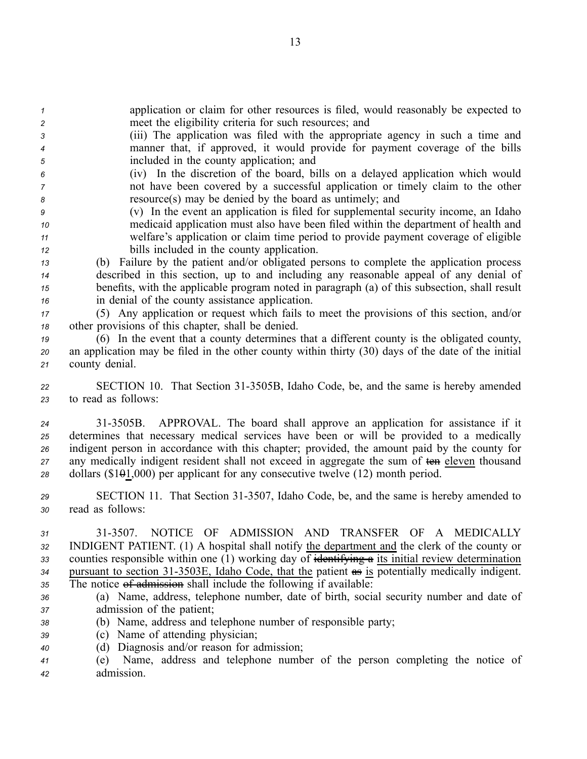*<sup>1</sup>* application or claim for other resources is filed, would reasonably be expected to *<sup>2</sup>* meet the eligibility criteria for such resources; and

- *<sup>3</sup>* (iii) The application was filed with the appropriate agency in such <sup>a</sup> time and *<sup>4</sup>* manner that, if approved, it would provide for paymen<sup>t</sup> coverage of the bills *<sup>5</sup>* included in the county application; and
- *<sup>6</sup>* (iv) In the discretion of the board, bills on <sup>a</sup> delayed application which would *<sup>7</sup>* not have been covered by <sup>a</sup> successful application or timely claim to the other *<sup>8</sup>* resource(s) may be denied by the board as untimely; and
- *<sup>9</sup>* (v) In the event an application is filed for supplemental security income, an Idaho *<sup>10</sup>* medicaid application must also have been filed within the department of health and *<sup>11</sup>* welfare's application or claim time period to provide paymen<sup>t</sup> coverage of eligible *<sup>12</sup>* bills included in the county application.
- *<sup>13</sup>* (b) Failure by the patient and/or obligated persons to complete the application process *<sup>14</sup>* described in this section, up to and including any reasonable appeal of any denial of *<sup>15</sup>* benefits, with the applicable program noted in paragraph (a) of this subsection, shall result *<sup>16</sup>* in denial of the county assistance application.
- *<sup>17</sup>* (5) Any application or reques<sup>t</sup> which fails to meet the provisions of this section, and/or *<sup>18</sup>* other provisions of this chapter, shall be denied.
- *<sup>19</sup>* (6) In the event that <sup>a</sup> county determines that <sup>a</sup> different county is the obligated county, *<sup>20</sup>* an application may be filed in the other county within thirty (30) days of the date of the initial *<sup>21</sup>* county denial.
- *<sup>22</sup>* SECTION 10. That Section 313505B, Idaho Code, be, and the same is hereby amended *<sup>23</sup>* to read as follows:
- *<sup>24</sup>* 313505B. APPROVAL. The board shall approve an application for assistance if it *<sup>25</sup>* determines that necessary medical services have been or will be provided to <sup>a</sup> medically *<sup>26</sup>* indigent person in accordance with this chapter; provided, the amount paid by the county for *<sup>27</sup>* any medically indigent resident shall not exceed in aggregate the sum of ten eleven thousand *<sup>28</sup>* dollars (\$101,000) per applicant for any consecutive twelve (12) month period.
- 29 **SECTION 11.** That Section 31-3507, Idaho Code, be, and the same is hereby amended to *<sup>30</sup>* read as follows:
- *31* 313507. NOTICE OF ADMISSION AND TRANSFER OF A MEDICALLY *<sup>32</sup>* INDIGENT PATIENT. (1) A hospital shall notify the department and the clerk of the county or *<sup>33</sup>* counties responsible within one (1) working day of identifying <sup>a</sup> its initial review determination 34 pursuant to section 31-3503E, Idaho Code, that the patient as is potentially medically indigent. 35 The notice of admission shall include the following if available:
- *<sup>36</sup>* (a) Name, address, telephone number, date of birth, social security number and date of *<sup>37</sup>* admission of the patient;
- *<sup>38</sup>* (b) Name, address and telephone number of responsible party;
- *<sup>39</sup>* (c) Name of attending physician;
- *<sup>40</sup>* (d) Diagnosis and/or reason for admission;
- *<sup>41</sup>* (e) Name, address and telephone number of the person completing the notice of *<sup>42</sup>* admission.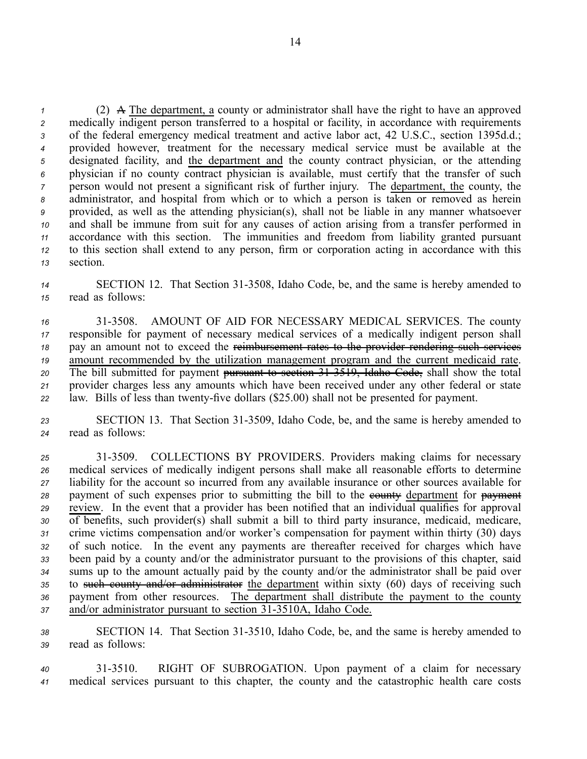(2) A The department, <sup>a</sup> county or administrator shall have the right to have an approved medically indigent person transferred to <sup>a</sup> hospital or facility, in accordance with requirements of the federal emergency medical treatment and active labor act, 42 U.S.C., section 1395d.d.; provided however, treatment for the necessary medical service must be available at the designated facility, and the department and the county contract physician, or the attending physician if no county contract physician is available, must certify that the transfer of such person would not presen<sup>t</sup> <sup>a</sup> significant risk of further injury. The department, the county, the administrator, and hospital from which or to which <sup>a</sup> person is taken or removed as herein provided, as well as the attending physician(s), shall not be liable in any manner whatsoever and shall be immune from suit for any causes of action arising from <sup>a</sup> transfer performed in accordance with this section. The immunities and freedom from liability granted pursuan<sup>t</sup> to this section shall extend to any person, firm or corporation acting in accordance with this *<sup>13</sup>* section.

14 SECTION 12. That Section 31-3508, Idaho Code, be, and the same is hereby amended to *<sup>15</sup>* read as follows:

 313508. AMOUNT OF AID FOR NECESSARY MEDICAL SERVICES. The county responsible for paymen<sup>t</sup> of necessary medical services of <sup>a</sup> medically indigent person shall pay an amount not to exceed the reimbursement rates to the provider rendering such services amount recommended by the utilization managemen<sup>t</sup> program and the current medicaid rate. The bill submitted for paymen<sup>t</sup> pursuan<sup>t</sup> to section 313519, Idaho Code, shall show the total provider charges less any amounts which have been received under any other federal or state 22 law. Bills of less than twenty-five dollars (\$25.00) shall not be presented for payment.

23 SECTION 13. That Section 31-3509, Idaho Code, be, and the same is hereby amended to *<sup>24</sup>* read as follows:

 313509. COLLECTIONS BY PROVIDERS. Providers making claims for necessary medical services of medically indigent persons shall make all reasonable efforts to determine liability for the account so incurred from any available insurance or other sources available for 28 payment of such expenses prior to submitting the bill to the **county** department for payment review. In the event that <sup>a</sup> provider has been notified that an individual qualifies for approval of benefits, such provider(s) shall submit <sup>a</sup> bill to third party insurance, medicaid, medicare, crime victims compensation and/or worker's compensation for paymen<sup>t</sup> within thirty (30) days of such notice. In the event any payments are thereafter received for charges which have been paid by <sup>a</sup> county and/or the administrator pursuan<sup>t</sup> to the provisions of this chapter, said sums up to the amount actually paid by the county and/or the administrator shall be paid over to such county and/or administrator the department within sixty (60) days of receiving such paymen<sup>t</sup> from other resources. The department shall distribute the paymen<sup>t</sup> to the county 37 and/or administrator pursuant to section 31-3510A, Idaho Code.

*<sup>38</sup>* SECTION 14. That Section 313510, Idaho Code, be, and the same is hereby amended to *<sup>39</sup>* read as follows:

*<sup>40</sup>* 313510. RIGHT OF SUBROGATION. Upon paymen<sup>t</sup> of <sup>a</sup> claim for necessary *<sup>41</sup>* medical services pursuan<sup>t</sup> to this chapter, the county and the catastrophic health care costs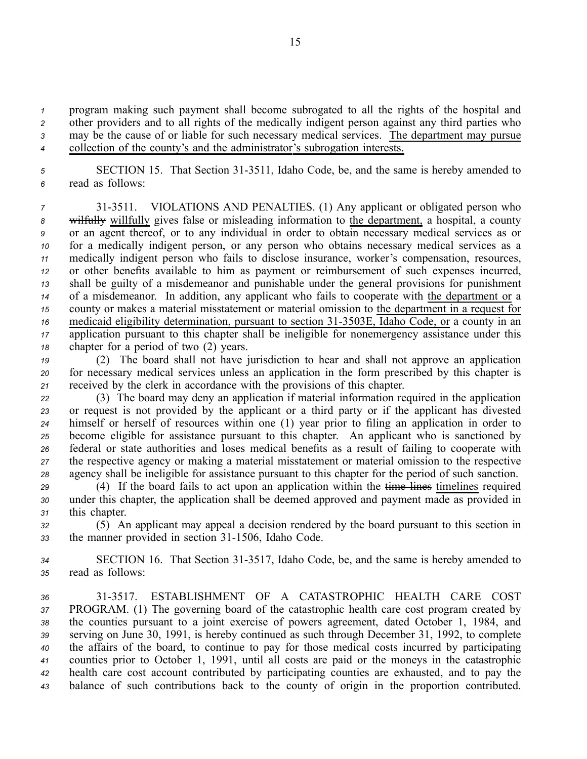program making such paymen<sup>t</sup> shall become subrogated to all the rights of the hospital and other providers and to all rights of the medically indigent person against any third parties who may be the cause of or liable for such necessary medical services. The department may pursue collection of the county's and the administrator's subrogation interests.

*<sup>5</sup>* SECTION 15. That Section 313511, Idaho Code, be, and the same is hereby amended to *<sup>6</sup>* read as follows:

 313511. VIOLATIONS AND PENALTIES. (1) Any applicant or obligated person who wilfully willfully gives false or misleading information to the department, <sup>a</sup> hospital, <sup>a</sup> county or an agen<sup>t</sup> thereof, or to any individual in order to obtain necessary medical services as or for <sup>a</sup> medically indigent person, or any person who obtains necessary medical services as <sup>a</sup> medically indigent person who fails to disclose insurance, worker's compensation, resources, or other benefits available to him as paymen<sup>t</sup> or reimbursement of such expenses incurred, shall be guilty of <sup>a</sup> misdemeanor and punishable under the general provisions for punishment of <sup>a</sup> misdemeanor. In addition, any applicant who fails to cooperate with the department or <sup>a</sup> county or makes <sup>a</sup> material misstatement or material omission to the department in <sup>a</sup> reques<sup>t</sup> for medicaid eligibility determination, pursuant to section 31-3503E, Idaho Code, or a county in an application pursuan<sup>t</sup> to this chapter shall be ineligible for nonemergency assistance under this chapter for <sup>a</sup> period of two (2) years.

*<sup>19</sup>* (2) The board shall not have jurisdiction to hear and shall not approve an application *<sup>20</sup>* for necessary medical services unless an application in the form prescribed by this chapter is *<sup>21</sup>* received by the clerk in accordance with the provisions of this chapter.

 (3) The board may deny an application if material information required in the application or reques<sup>t</sup> is not provided by the applicant or <sup>a</sup> third party or if the applicant has divested himself or herself of resources within one (1) year prior to filing an application in order to become eligible for assistance pursuan<sup>t</sup> to this chapter. An applicant who is sanctioned by federal or state authorities and loses medical benefits as <sup>a</sup> result of failing to cooperate with the respective agency or making <sup>a</sup> material misstatement or material omission to the respective agency shall be ineligible for assistance pursuan<sup>t</sup> to this chapter for the period of such sanction.

*<sup>29</sup>* (4) If the board fails to act upon an application within the time lines timelines required *<sup>30</sup>* under this chapter, the application shall be deemed approved and paymen<sup>t</sup> made as provided in *<sup>31</sup>* this chapter.

*<sup>32</sup>* (5) An applicant may appeal <sup>a</sup> decision rendered by the board pursuan<sup>t</sup> to this section in 33 the manner provided in section 31-1506, Idaho Code.

34 SECTION 16. That Section 31-3517, Idaho Code, be, and the same is hereby amended to *<sup>35</sup>* read as follows:

 313517. ESTABLISHMENT OF A CATASTROPHIC HEALTH CARE COST PROGRAM. (1) The governing board of the catastrophic health care cost program created by the counties pursuan<sup>t</sup> to <sup>a</sup> joint exercise of powers agreement, dated October 1, 1984, and serving on June 30, 1991, is hereby continued as such through December 31, 1992, to complete the affairs of the board, to continue to pay for those medical costs incurred by participating counties prior to October 1, 1991, until all costs are paid or the moneys in the catastrophic health care cost account contributed by participating counties are exhausted, and to pay the balance of such contributions back to the county of origin in the proportion contributed.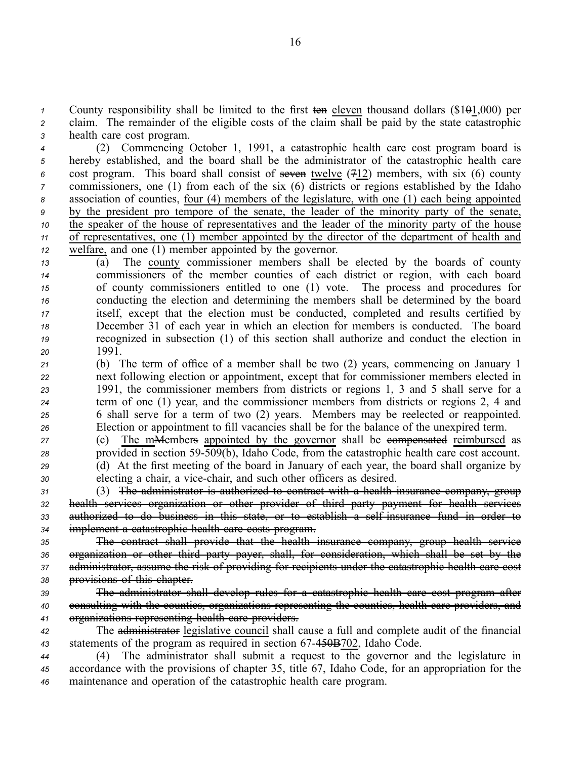*1* County responsibility shall be limited to the first ten eleven thousand dollars (\$101,000) per *<sup>2</sup>* claim. The remainder of the eligible costs of the claim shall be paid by the state catastrophic *<sup>3</sup>* health care cost program.

 (2) Commencing October 1, 1991, <sup>a</sup> catastrophic health care cost program board is hereby established, and the board shall be the administrator of the catastrophic health care cost program. This board shall consist of seven twelve (712) members, with six (6) county commissioners, one (1) from each of the six (6) districts or regions established by the Idaho association of counties, four (4) members of the legislature, with one (1) each being appointed by the president pro tempore of the senate, the leader of the minority party of the senate, the speaker of the house of representatives and the leader of the minority party of the house of representatives, one (1) member appointed by the director of the department of health and welfare, and one (1) member appointed by the governor.

 (a) The county commissioner members shall be elected by the boards of county commissioners of the member counties of each district or region, with each board of county commissioners entitled to one (1) vote. The process and procedures for conducting the election and determining the members shall be determined by the board itself, excep<sup>t</sup> that the election must be conducted, completed and results certified by December 31 of each year in which an election for members is conducted. The board recognized in subsection (1) of this section shall authorize and conduct the election in *20* 1991.

 (b) The term of office of <sup>a</sup> member shall be two (2) years, commencing on January 1 next following election or appointment, excep<sup>t</sup> that for commissioner members elected in 1991, the commissioner members from districts or regions 1, 3 and 5 shall serve for <sup>a</sup> term of one (1) year, and the commissioner members from districts or regions 2, 4 and 6 shall serve for <sup>a</sup> term of two (2) years. Members may be reelected or reappointed. Election or appointment to fill vacancies shall be for the balance of the unexpired term.

27 (c) The m<del>Members</del> appointed by the governor shall be esempensated reimbursed as *<sup>28</sup>* provided in section 59509(b), Idaho Code, from the catastrophic health care cost account. *<sup>29</sup>* (d) At the first meeting of the board in January of each year, the board shall organize by

*<sup>30</sup>* electing <sup>a</sup> chair, <sup>a</sup> vicechair, and such other officers as desired.

 (3) The administrator is authorized to contract with <sup>a</sup> health insurance company, group health services organization or other provider of third party paymen<sup>t</sup> for health services authorized to do business in this state, or to establish <sup>a</sup> selfinsurance fund in order to implement <sup>a</sup> catastrophic health care costs program.

 The contract shall provide that the health insurance company, group health service organization or other third party payer, shall, for consideration, which shall be set by the administrator, assume the risk of providing for recipients under the catastrophic health care cost provisions of this chapter.

*<sup>39</sup>* The administrator shall develop rules for <sup>a</sup> catastrophic health care cost program after *<sup>40</sup>* consulting with the counties, organizations representing the counties, health care providers, and *<sup>41</sup>* organizations representing health care providers.

*<sup>42</sup>* The administrator legislative council shall cause <sup>a</sup> full and complete audit of the financial *<sup>43</sup>* statements of the program as required in section 67450B702, Idaho Code.

*<sup>44</sup>* (4) The administrator shall submit <sup>a</sup> reques<sup>t</sup> to the governor and the legislature in *<sup>45</sup>* accordance with the provisions of chapter 35, title 67, Idaho Code, for an appropriation for the *<sup>46</sup>* maintenance and operation of the catastrophic health care program.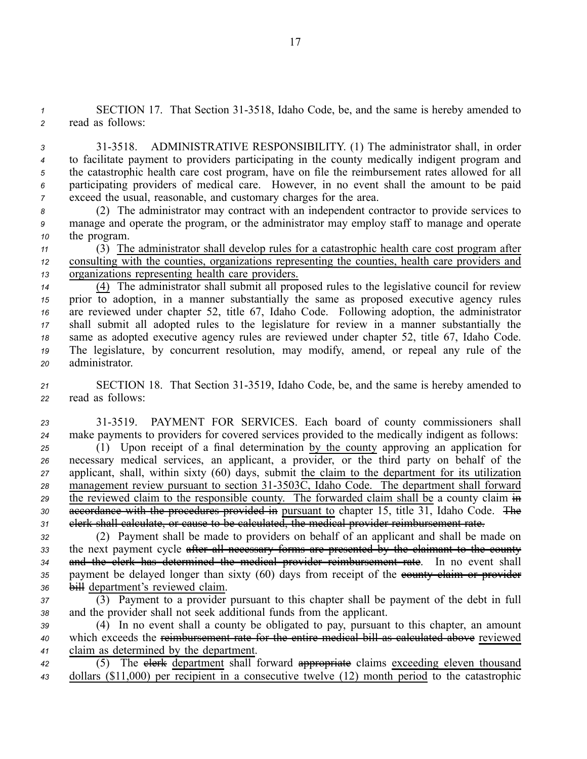*<sup>1</sup>* SECTION 17. That Section 313518, Idaho Code, be, and the same is hereby amended to *<sup>2</sup>* read as follows:

 313518. ADMINISTRATIVE RESPONSIBILITY. (1) The administrator shall, in order to facilitate paymen<sup>t</sup> to providers participating in the county medically indigent program and the catastrophic health care cost program, have on file the reimbursement rates allowed for all participating providers of medical care. However, in no event shall the amount to be paid exceed the usual, reasonable, and customary charges for the area.

*<sup>8</sup>* (2) The administrator may contract with an independent contractor to provide services to *<sup>9</sup>* manage and operate the program, or the administrator may employ staff to manage and operate *<sup>10</sup>* the program.

*<sup>11</sup>* (3) The administrator shall develop rules for <sup>a</sup> catastrophic health care cost program after *<sup>12</sup>* consulting with the counties, organizations representing the counties, health care providers and *<sup>13</sup>* organizations representing health care providers.

 (4) The administrator shall submit all proposed rules to the legislative council for review prior to adoption, in <sup>a</sup> manner substantially the same as proposed executive agency rules are reviewed under chapter 52, title 67, Idaho Code. Following adoption, the administrator shall submit all adopted rules to the legislature for review in <sup>a</sup> manner substantially the same as adopted executive agency rules are reviewed under chapter 52, title 67, Idaho Code. The legislature, by concurrent resolution, may modify, amend, or repeal any rule of the administrator.

21 SECTION 18. That Section 31-3519, Idaho Code, be, and the same is hereby amended to *<sup>22</sup>* read as follows:

*<sup>23</sup>* 313519. PAYMENT FOR SERVICES. Each board of county commissioners shall *<sup>24</sup>* make payments to providers for covered services provided to the medically indigent as follows:

 (1) Upon receipt of <sup>a</sup> final determination by the county approving an application for necessary medical services, an applicant, <sup>a</sup> provider, or the third party on behalf of the applicant, shall, within sixty (60) days, submit the claim to the department for its utilization 28 management review pursuant to section  $31-3503\overline{C}$ , Idaho Code. The department shall forward <sup>29</sup> the reviewed claim to the responsible county. The forwarded claim shall be a county claim in **accordance with the procedures provided in** pursuant to chapter 15, title 31, Idaho Code. The clerk shall calculate, or cause to be calculated, the medical provider reimbursement rate.

*<sup>32</sup>* (2) Payment shall be made to providers on behalf of an applicant and shall be made on 33 the next payment cycle after all necessary forms are presented by the claimant to the county *<sup>34</sup>* and the clerk has determined the medical provider reimbursement rate. In no event shall 35 payment be delayed longer than sixty (60) days from receipt of the equally elaim or provider *<sup>36</sup>* bill department's reviewed claim.

*<sup>37</sup>* (3) Payment to <sup>a</sup> provider pursuan<sup>t</sup> to this chapter shall be paymen<sup>t</sup> of the debt in full *<sup>38</sup>* and the provider shall not seek additional funds from the applicant.

*<sup>39</sup>* (4) In no event shall <sup>a</sup> county be obligated to pay, pursuan<sup>t</sup> to this chapter, an amount *<sup>40</sup>* which exceeds the reimbursement rate for the entire medical bill as calculated above reviewed *<sup>41</sup>* claim as determined by the department.

42 (5) The elerk department shall forward appropriate claims exceeding eleven thousand *<sup>43</sup>* dollars (\$11,000) per recipient in <sup>a</sup> consecutive twelve (12) month period to the catastrophic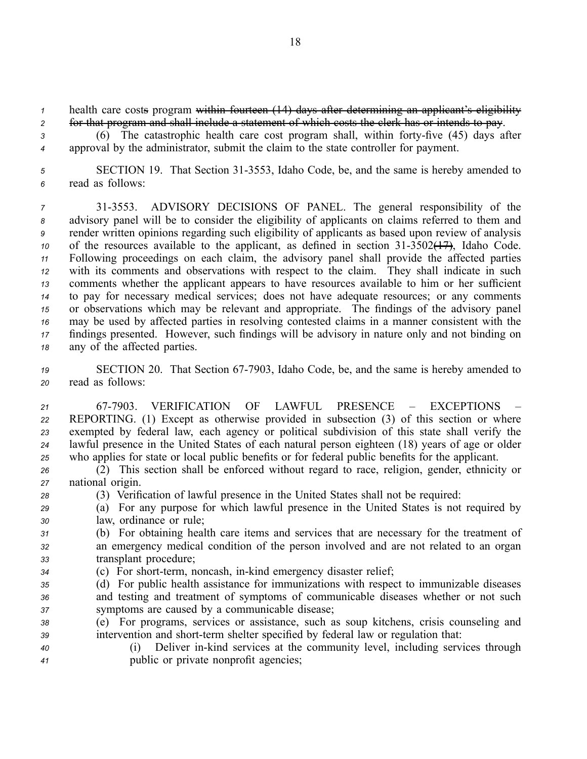*1* health care costs program within fourteen (14) days after determining an applicant's eligibility *<sup>2</sup>* for that program and shall include <sup>a</sup> statement of which costs the clerk has or intends to pay.

3 (6) The catastrophic health care cost program shall, within forty-five (45) days after *<sup>4</sup>* approval by the administrator, submit the claim to the state controller for payment.

*<sup>5</sup>* SECTION 19. That Section 313553, Idaho Code, be, and the same is hereby amended to *<sup>6</sup>* read as follows:

 313553. ADVISORY DECISIONS OF PANEL. The general responsibility of the advisory panel will be to consider the eligibility of applicants on claims referred to them and render written opinions regarding such eligibility of applicants as based upon review of analysis of the resources available to the applicant, as defined in section 31-3502( $\frac{1}{2}$ ), Idaho Code. Following proceedings on each claim, the advisory panel shall provide the affected parties with its comments and observations with respec<sup>t</sup> to the claim. They shall indicate in such comments whether the applicant appears to have resources available to him or her sufficient to pay for necessary medical services; does not have adequate resources; or any comments or observations which may be relevant and appropriate. The findings of the advisory panel may be used by affected parties in resolving contested claims in <sup>a</sup> manner consistent with the findings presented. However, such findings will be advisory in nature only and not binding on any of the affected parties.

*<sup>19</sup>* SECTION 20. That Section 677903, Idaho Code, be, and the same is hereby amended to *<sup>20</sup>* read as follows:

 677903. VERIFICATION OF LAWFUL PRESENCE – EXCEPTIONS – REPORTING. (1) Except as otherwise provided in subsection (3) of this section or where exempted by federal law, each agency or political subdivision of this state shall verify the lawful presence in the United States of each natural person eighteen (18) years of age or older who applies for state or local public benefits or for federal public benefits for the applicant.

- *<sup>26</sup>* (2) This section shall be enforced without regard to race, religion, gender, ethnicity or *<sup>27</sup>* national origin.
- *<sup>28</sup>* (3) Verification of lawful presence in the United States shall not be required:
- *<sup>29</sup>* (a) For any purpose for which lawful presence in the United States is not required by *<sup>30</sup>* law, ordinance or rule;
- *<sup>31</sup>* (b) For obtaining health care items and services that are necessary for the treatment of *<sup>32</sup>* an emergency medical condition of the person involved and are not related to an organ *<sup>33</sup>* transplant procedure;
- 34 (c) For short-term, noncash, in-kind emergency disaster relief;
- *<sup>35</sup>* (d) For public health assistance for immunizations with respec<sup>t</sup> to immunizable diseases *<sup>36</sup>* and testing and treatment of symptoms of communicable diseases whether or not such *<sup>37</sup>* symptoms are caused by <sup>a</sup> communicable disease;
- *<sup>38</sup>* (e) For programs, services or assistance, such as soup kitchens, crisis counseling and 39 intervention and short-term shelter specified by federal law or regulation that:
- *<sup>40</sup>* (i) Deliver inkind services at the community level, including services through *<sup>41</sup>* public or private nonprofit agencies;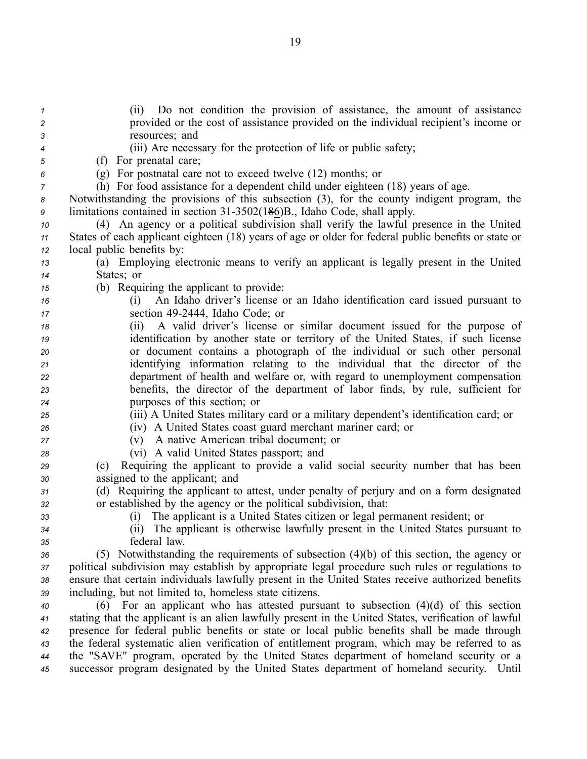| $\boldsymbol{\mathcal{1}}$<br>2 | Do not condition the provision of assistance, the amount of assistance<br>(ii)<br>provided or the cost of assistance provided on the individual recipient's income or |
|---------------------------------|-----------------------------------------------------------------------------------------------------------------------------------------------------------------------|
| 3                               | resources; and                                                                                                                                                        |
| 4                               | (iii) Are necessary for the protection of life or public safety;                                                                                                      |
| 5                               | (f) For prenatal care;                                                                                                                                                |
| 6                               | $(g)$ For postnatal care not to exceed twelve $(12)$ months; or                                                                                                       |
| 7                               | (h) For food assistance for a dependent child under eighteen (18) years of age.                                                                                       |
| 8                               | Notwithstanding the provisions of this subsection (3), for the county indigent program, the                                                                           |
| 9                               | limitations contained in section 31-3502(186)B., Idaho Code, shall apply.                                                                                             |
| 10                              | (4) An agency or a political subdivision shall verify the lawful presence in the United                                                                               |
| 11                              | States of each applicant eighteen (18) years of age or older for federal public benefits or state or                                                                  |
| 12                              | local public benefits by:                                                                                                                                             |
| 13                              | (a) Employing electronic means to verify an applicant is legally present in the United                                                                                |
| 14                              | States; or                                                                                                                                                            |
| 15                              | (b) Requiring the applicant to provide:                                                                                                                               |
| 16                              | An Idaho driver's license or an Idaho identification card issued pursuant to<br>(1)                                                                                   |
| $17$                            | section 49-2444, Idaho Code; or                                                                                                                                       |
| 18                              | A valid driver's license or similar document issued for the purpose of<br>(ii)                                                                                        |
| 19                              | identification by another state or territory of the United States, if such license                                                                                    |
| 20                              | or document contains a photograph of the individual or such other personal                                                                                            |
| 21                              | identifying information relating to the individual that the director of the                                                                                           |
| 22                              | department of health and welfare or, with regard to unemployment compensation                                                                                         |
| 23                              | benefits, the director of the department of labor finds, by rule, sufficient for                                                                                      |
| 24                              | purposes of this section; or                                                                                                                                          |
| 25                              | (iii) A United States military card or a military dependent's identification card; or                                                                                 |
| 26                              | (iv) A United States coast guard merchant mariner card; or                                                                                                            |
| 27                              | A native American tribal document; or<br>(v)                                                                                                                          |
| 28                              | (vi) A valid United States passport; and                                                                                                                              |
| 29                              | Requiring the applicant to provide a valid social security number that has been<br>(c)                                                                                |
| 30                              | assigned to the applicant; and                                                                                                                                        |
| 31                              | (d) Requiring the applicant to attest, under penalty of perjury and on a form designated                                                                              |
| 32                              | or established by the agency or the political subdivision, that:                                                                                                      |
| 33                              | (i) The applicant is a United States citizen or legal permanent resident; or                                                                                          |
| 34                              | (ii) The applicant is otherwise lawfully present in the United States pursuant to                                                                                     |
| 35                              | federal law.                                                                                                                                                          |
| 36                              | (5) Notwithstanding the requirements of subsection $(4)(b)$ of this section, the agency or                                                                            |
| 37                              | political subdivision may establish by appropriate legal procedure such rules or regulations to                                                                       |
| 38                              | ensure that certain individuals lawfully present in the United States receive authorized benefits                                                                     |
| 39                              | including, but not limited to, homeless state citizens.                                                                                                               |
| 40                              | For an applicant who has attested pursuant to subsection $(4)(d)$ of this section<br>(6)                                                                              |
| 41                              | stating that the applicant is an alien lawfully present in the United States, verification of lawful                                                                  |
| 42                              | presence for federal public benefits or state or local public benefits shall be made through                                                                          |
| 43                              | the federal systematic alien verification of entitlement program, which may be referred to as                                                                         |
| 44                              | the "SAVE" program, operated by the United States department of homeland security or a                                                                                |
| 45                              | successor program designated by the United States department of homeland security.<br>Until                                                                           |